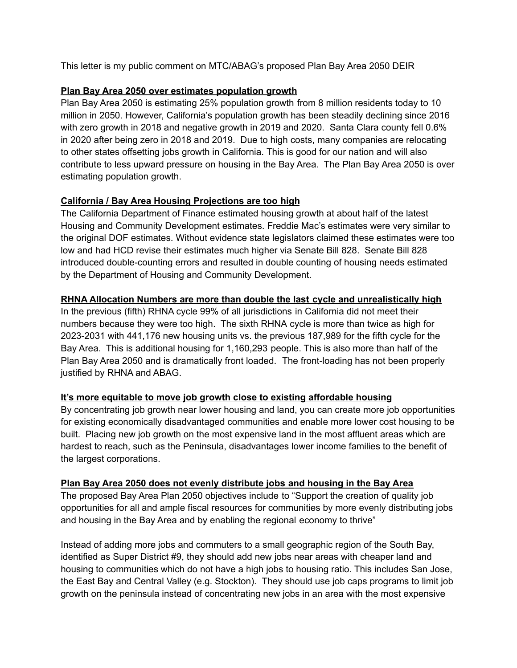This letter is my public comment on MTC/ABAG's proposed Plan Bay Area 2050 DEIR

## **Plan Bay Area 2050 over estimates population growth**

Plan Bay Area 2050 is estimating 25% population growth from 8 million residents today to 10 million in 2050. However, California's population growth has been steadily declining since 2016 with zero growth in 2018 and negative growth in 2019 and 2020. Santa Clara county fell 0.6% in 2020 after being zero in 2018 and 2019. Due to high costs, many companies are relocating to other states offsetting jobs growth in California. This is good for our nation and will also contribute to less upward pressure on housing in the Bay Area. The Plan Bay Area 2050 is over estimating population growth.

# **California / Bay Area Housing Projections are too high**

The California Department of Finance estimated housing growth at about half of the latest Housing and Community Development estimates. Freddie Mac's estimates were very similar to the original DOF estimates. Without evidence state legislators claimed these estimates were too low and had HCD revise their estimates much higher via Senate Bill 828. Senate Bill 828 introduced double-counting errors and resulted in double counting of housing needs estimated by the Department of Housing and Community Development.

# **RHNA Allocation Numbers are more than double the last cycle and unrealistically high**

In the previous (fifth) RHNA cycle 99% of all jurisdictions in California did not meet their numbers because they were too high. The sixth RHNA cycle is more than twice as high for 2023-2031 with 441,176 new housing units vs. the previous 187,989 for the fifth cycle for the Bay Area. This is additional housing for 1,160,293 people. This is also more than half of the Plan Bay Area 2050 and is dramatically front loaded. The front-loading has not been properly justified by RHNA and ABAG.

# **It's more equitable to move job growth close to existing affordable housing**

By concentrating job growth near lower housing and land, you can create more job opportunities for existing economically disadvantaged communities and enable more lower cost housing to be built. Placing new job growth on the most expensive land in the most affluent areas which are hardest to reach, such as the Peninsula, disadvantages lower income families to the benefit of the largest corporations.

# **Plan Bay Area 2050 does not evenly distribute jobs and housing in the Bay Area**

The proposed Bay Area Plan 2050 objectives include to "Support the creation of quality job opportunities for all and ample fiscal resources for communities by more evenly distributing jobs and housing in the Bay Area and by enabling the regional economy to thrive"

Instead of adding more jobs and commuters to a small geographic region of the South Bay, identified as Super District #9, they should add new jobs near areas with cheaper land and housing to communities which do not have a high jobs to housing ratio. This includes San Jose, the East Bay and Central Valley (e.g. Stockton). They should use job caps programs to limit job growth on the peninsula instead of concentrating new jobs in an area with the most expensive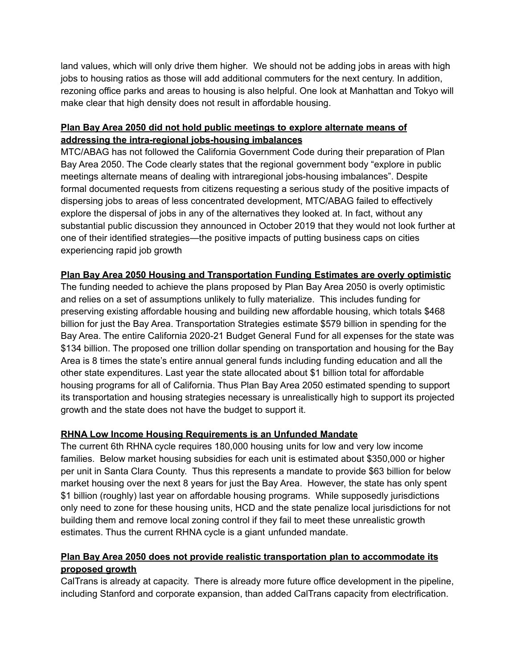land values, which will only drive them higher. We should not be adding jobs in areas with high jobs to housing ratios as those will add additional commuters for the next century. In addition, rezoning office parks and areas to housing is also helpful. One look at Manhattan and Tokyo will make clear that high density does not result in affordable housing.

# **Plan Bay Area 2050 did not hold public meetings to explore alternate means of addressing the intra-regional jobs-housing imbalances**

MTC/ABAG has not followed the California Government Code during their preparation of Plan Bay Area 2050. The Code clearly states that the regional government body "explore in public meetings alternate means of dealing with intraregional jobs-housing imbalances". Despite formal documented requests from citizens requesting a serious study of the positive impacts of dispersing jobs to areas of less concentrated development, MTC/ABAG failed to effectively explore the dispersal of jobs in any of the alternatives they looked at. In fact, without any substantial public discussion they announced in October 2019 that they would not look further at one of their identified strategies—the positive impacts of putting business caps on cities experiencing rapid job growth

# **Plan Bay Area 2050 Housing and Transportation Funding Estimates are overly optimistic**

The funding needed to achieve the plans proposed by Plan Bay Area 2050 is overly optimistic and relies on a set of assumptions unlikely to fully materialize. This includes funding for preserving existing affordable housing and building new affordable housing, which totals \$468 billion for just the Bay Area. Transportation Strategies estimate \$579 billion in spending for the Bay Area. The entire California 2020-21 Budget General Fund for all expenses for the state was \$134 billion. The proposed one trillion dollar spending on transportation and housing for the Bay Area is 8 times the state's entire annual general funds including funding education and all the other state expenditures. Last year the state allocated about \$1 billion total for affordable housing programs for all of California. Thus Plan Bay Area 2050 estimated spending to support its transportation and housing strategies necessary is unrealistically high to support its projected growth and the state does not have the budget to support it.

# **RHNA Low Income Housing Requirements is an Unfunded Mandate**

The current 6th RHNA cycle requires 180,000 housing units for low and very low income families. Below market housing subsidies for each unit is estimated about \$350,000 or higher per unit in Santa Clara County. Thus this represents a mandate to provide \$63 billion for below market housing over the next 8 years for just the Bay Area. However, the state has only spent \$1 billion (roughly) last year on affordable housing programs. While supposedly jurisdictions only need to zone for these housing units, HCD and the state penalize local jurisdictions for not building them and remove local zoning control if they fail to meet these unrealistic growth estimates. Thus the current RHNA cycle is a giant unfunded mandate.

# **Plan Bay Area 2050 does not provide realistic transportation plan to accommodate its proposed growth**

CalTrans is already at capacity. There is already more future office development in the pipeline, including Stanford and corporate expansion, than added CalTrans capacity from electrification.